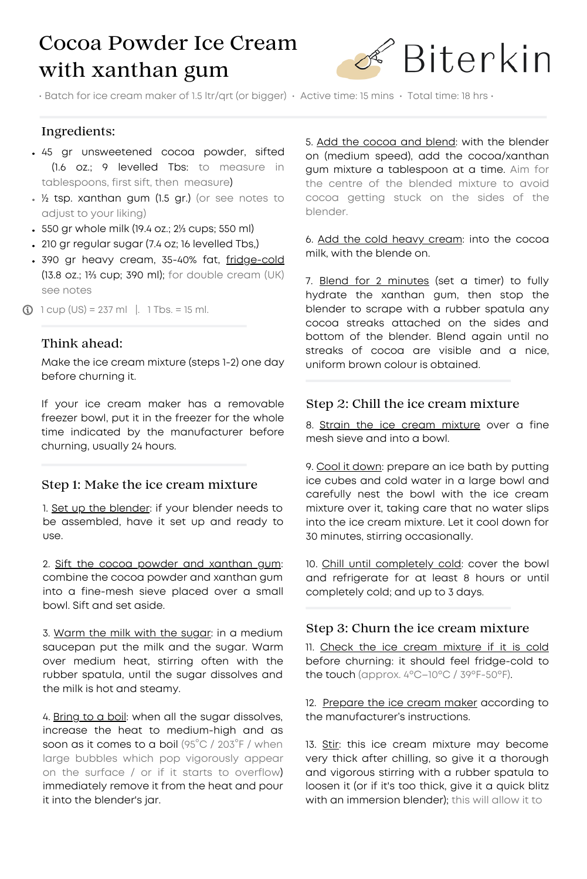# Cocoa Powder Ice Cream with xanthan gum



• Batch for ice cream maker of 1.5 ltr/qrt (or bigger) • Active time: 15 mins • Total time: 18 hrs •

### Ingredients:

- 45 gr unsweetened cocoa powder, sifted (1.6 oz.; 9 levelled Tbs: to measure in tablespoons, first sift, then measure)
- ½ tsp. xanthan gum (1.5 gr.) (or see notes to adjust to your liking)
- 550 gr whole milk (19.4 oz.; 2⅓ cups; 550 ml)
- 210 gr regular sugar (7.4 oz; 16 levelled Tbs,)
- . 390 gr heavy cream, 35-40% fat, fridge-cold (13.8 oz.; 1⅔ cup; 390 ml); for double cream (UK) see notes
- $\bigcirc$  1 cup (US) = 237 ml |. 1 Tbs. = 15 ml.

#### Think ahead:

Make the ice cream mixture (steps 1-2) one day before churning it.

If your ice cream maker has a removable freezer bowl, put it in the freezer for the whole time indicated by the manufacturer before churning, usually 24 hours.

#### Step 1: Make the ice cream mixture

1. Set up the blender: if your blender needs to be assembled, have it set up and ready to use.

2. Sift the cocoa powder and xanthan gum: combine the cocoa powder and xanthan gum into a fine-mesh sieve placed over a small bowl. Sift and set aside.

3. Warm the milk with the sugar: in a medium saucepan put the milk and the sugar. Warm over medium heat, stirring often with the rubber spatula, until the sugar dissolves and the milk is hot and steamy.

4. Bring to a boil: when all the sugar dissolves, increase the heat to medium-high and as soon as it comes to a boil (95°C / 203°F / when large bubbles which pop vigorously appear on the surface / or if it starts to overflow) immediately remove it from the heat and pour it into the blender's jar.

5. Add the cocoa and blend: with the blender on (medium speed), add the cocoa/xanthan gum mixture a tablespoon at a time. Aim for the centre of the blended mixture to avoid cocoa getting stuck on the sides of the blender.

6. Add the cold heavy cream: into the cocoa milk, with the blende on.

7. Blend for 2 minutes (set a timer) to fully hydrate the xanthan gum, then stop the blender to scrape with a rubber spatula any cocoa streaks attached on the sides and bottom of the blender. Blend again until no streaks of cocoa are visible and a nice, uniform brown colour is obtained.

### Step 2: Chill the ice cream mixture

8. Strain the ice cream mixture over a fine mesh sieve and into a bowl.

9. Cool it down: prepare an ice bath by putting ice cubes and cold water in a large bowl and carefully nest the bowl with the ice cream mixture over it, taking care that no water slips into the ice cream mixture. Let it cool down for 30 minutes, stirring occasionally.

10. Chill until completely cold: cover the bowl and refrigerate for at least 8 hours or until completely cold; and up to 3 days.

### Step 3: Churn the ice cream mixture

11. Check the ice cream mixture if it is cold before churning: it should feel fridge-cold to the touch (approx. 4ºC–10ºC / 39ºF-50ºF).

12. Prepare the ice cream maker according to the manufacturer's instructions.

13. Stir: this ice cream mixture may become very thick after chilling, so give it a thorough and vigorous stirring with a rubber spatula to loosen it (or if it's too thick, give it a quick blitz with an immersion blender); this will allow it to